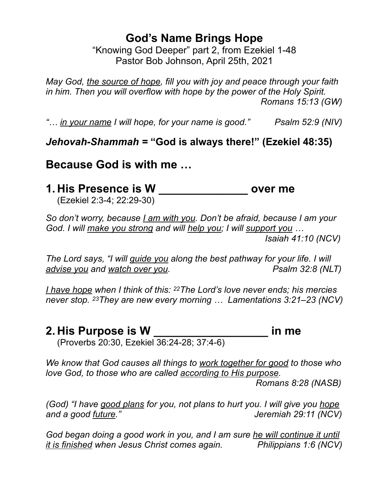# **God's Name Brings Hope**

"Knowing God Deeper" part 2, from Ezekiel 1-48 Pastor Bob Johnson, April 25th, 2021

*May God, the source of hope, fill you with joy and peace through your faith in him. Then you will overflow with hope by the power of the Holy Spirit. Romans 15:13 (GW)*

*"… in your name I will hope, for your name is good." Psalm 52:9 (NIV)*

## *Jehovah-Shammah =* **"God is always there!" (Ezekiel 48:35)**

**Because God is with me …**

**1. His Presence is W \_\_\_\_\_\_\_\_\_\_\_\_\_\_ over me**

(Ezekiel 2:3-4; 22:29-30)

*So don't worry, because I am with you. Don't be afraid, because I am your God. I will make you strong and will help you; I will support you … Isaiah 41:10 (NCV)*

*The Lord says, "I will guide you along the best pathway for your life. I will advise you and watch over you. Psalm 32:8 (NLT)*

*I have hope when I think of this: 22The Lord's love never ends; his mercies never stop. 23They are new every morning … Lamentations 3:21–23 (NCV)*

## **2. His Purpose is W \_\_\_\_\_\_\_\_\_\_\_\_\_\_\_\_\_\_ in me**

(Proverbs 20:30, Ezekiel 36:24-28; 37:4-6)

*We know that God causes all things to work together for good to those who love God, to those who are called according to His purpose.* 

 *Romans 8:28 (NASB)*

*(God) "I have good plans for you, not plans to hurt you. I will give you hope and a good future." Jeremiah 29:11 (NCV)*

*God began doing a good work in you, and I am sure he will continue it until it is finished when Jesus Christ comes again. Philippians 1:6 (NCV)*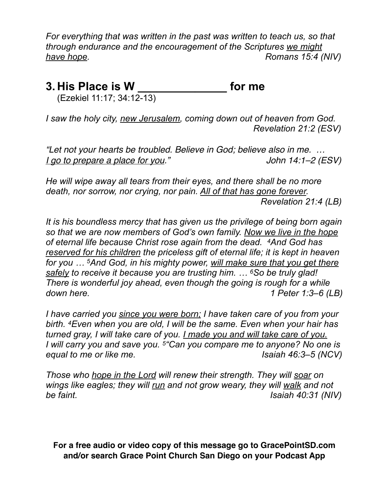*For everything that was written in the past was written to teach us, so that through endurance and the encouragement of the Scriptures we might have hope.* Romans 15:4 (NIV)

# **3. His Place is W \_\_\_\_\_\_\_\_\_\_\_\_\_\_ for me**

(Ezekiel 11:17; 34:12-13)

*I saw the holy city, new Jerusalem, coming down out of heaven from God. Revelation 21:2 (ESV)*

*"Let not your hearts be troubled. Believe in God; believe also in me. … I go to prepare a place for you." John 14:1–2 (ESV)* 

*He will wipe away all tears from their eyes, and there shall be no more death, nor sorrow, nor crying, nor pain. All of that has gone forever. Revelation 21:4 (LB)*

*It is his boundless mercy that has given us the privilege of being born again so that we are now members of God's own family. Now we live in the hope of eternal life because Christ rose again from the dead. 4And God has reserved for his children the priceless gift of eternal life; it is kept in heaven for you … 5And God, in his mighty power, will make sure that you get there safely to receive it because you are trusting him. … 6So be truly glad! There is wonderful joy ahead, even though the going is rough for a while down here. 1 Peter 1:3–6 (LB)*

*I have carried you since you were born; I have taken care of you from your birth. 4Even when you are old, I will be the same. Even when your hair has turned gray, I will take care of you. I made you and will take care of you. I will carry you and save you. 5"Can you compare me to anyone? No one is equal to me or like me. Isaiah 46:3–5 (NCV)*

*Those who hope in the Lord will renew their strength. They will soar on wings like eagles; they will run and not grow weary, they will walk and not be faint. Isaiah 40:31 (NIV)*

**For a free audio or video copy of this message go to GracePointSD.com and/or search Grace Point Church San Diego on your Podcast App**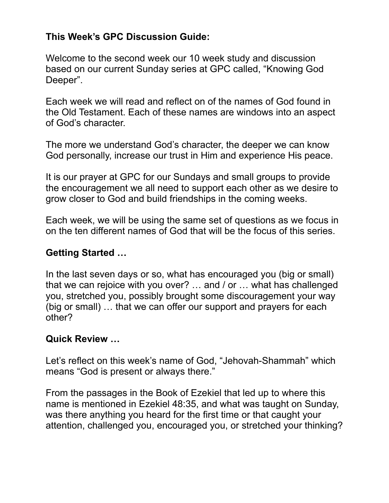## **This Week's GPC Discussion Guide:**

Welcome to the second week our 10 week study and discussion based on our current Sunday series at GPC called, "Knowing God Deeper".

Each week we will read and reflect on of the names of God found in the Old Testament. Each of these names are windows into an aspect of God's character.

The more we understand God's character, the deeper we can know God personally, increase our trust in Him and experience His peace.

It is our prayer at GPC for our Sundays and small groups to provide the encouragement we all need to support each other as we desire to grow closer to God and build friendships in the coming weeks.

Each week, we will be using the same set of questions as we focus in on the ten different names of God that will be the focus of this series.

#### **Getting Started …**

In the last seven days or so, what has encouraged you (big or small) that we can rejoice with you over? … and / or … what has challenged you, stretched you, possibly brought some discouragement your way (big or small) … that we can offer our support and prayers for each other?

#### **Quick Review …**

Let's reflect on this week's name of God, "Jehovah-Shammah" which means "God is present or always there."

From the passages in the Book of Ezekiel that led up to where this name is mentioned in Ezekiel 48:35, and what was taught on Sunday, was there anything you heard for the first time or that caught your attention, challenged you, encouraged you, or stretched your thinking?